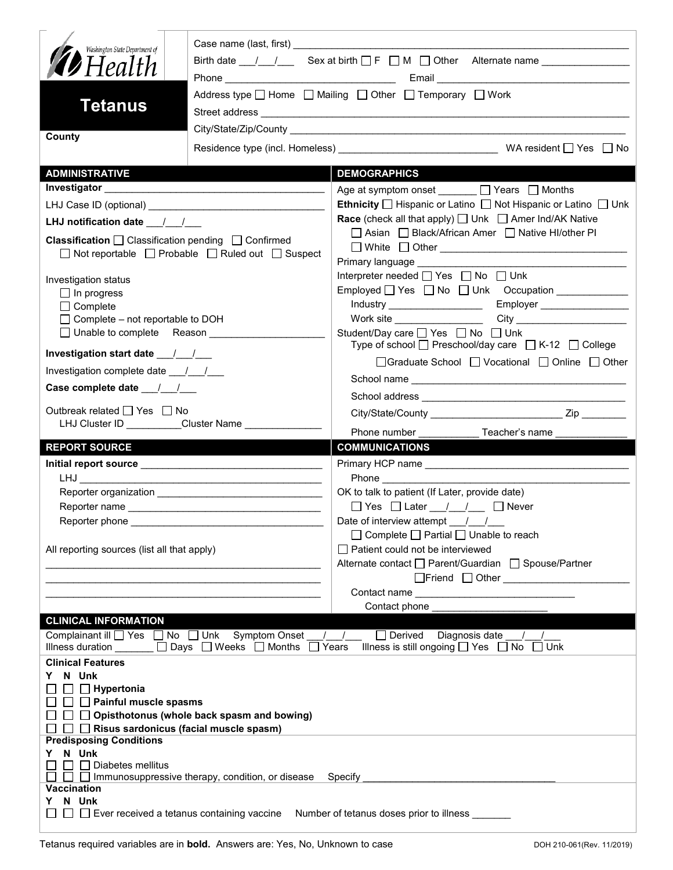| Washington State Department of<br><b>D</b> Health<br>Tetanus                                                                                                                                                                                         | Address type □ Home □ Mailing □ Other □ Temporary □ Work |                                                                                                                                                                                                                                                                                                                                                         |  |  |
|------------------------------------------------------------------------------------------------------------------------------------------------------------------------------------------------------------------------------------------------------|----------------------------------------------------------|---------------------------------------------------------------------------------------------------------------------------------------------------------------------------------------------------------------------------------------------------------------------------------------------------------------------------------------------------------|--|--|
| County                                                                                                                                                                                                                                               |                                                          |                                                                                                                                                                                                                                                                                                                                                         |  |  |
|                                                                                                                                                                                                                                                      |                                                          |                                                                                                                                                                                                                                                                                                                                                         |  |  |
| <b>ADMINISTRATIVE</b>                                                                                                                                                                                                                                |                                                          | <b>DEMOGRAPHICS</b>                                                                                                                                                                                                                                                                                                                                     |  |  |
|                                                                                                                                                                                                                                                      |                                                          | Age at symptom onset _______ □ Years □ Months                                                                                                                                                                                                                                                                                                           |  |  |
|                                                                                                                                                                                                                                                      |                                                          | Ethnicity □ Hispanic or Latino □ Not Hispanic or Latino □ Unk                                                                                                                                                                                                                                                                                           |  |  |
| LHJ notification date $\frac{1}{2}$                                                                                                                                                                                                                  |                                                          | <b>Race</b> (check all that apply) $\Box$ Unk $\Box$ Amer Ind/AK Native                                                                                                                                                                                                                                                                                 |  |  |
| <b>Classification</b> $\Box$ Classification pending $\Box$ Confirmed<br>□ Not reportable □ Probable □ Ruled out □ Suspect                                                                                                                            |                                                          | □ Asian □ Black/African Amer □ Native HI/other PI<br>□ White □ Other <u>___________________________________</u><br><b>Primary language example of the state of the state of the state of the state of the state of the state of the state of the state of the state of the state of the state of the state of the state of the state of the state o</b> |  |  |
| Investigation status<br>$\Box$ In progress<br>$\Box$ Complete<br>$\Box$ Complete – not reportable to DOH                                                                                                                                             |                                                          | Interpreter needed □ Yes □ No □ Unk<br>Work site __________________<br>Student/Day care <u>S</u> Yes <b>S</b> No Sunk                                                                                                                                                                                                                                   |  |  |
|                                                                                                                                                                                                                                                      |                                                          | Type of school $\Box$ Preschool/day care $\Box$ K-12 $\Box$ College                                                                                                                                                                                                                                                                                     |  |  |
| Investigation complete date ___/___/___                                                                                                                                                                                                              |                                                          | □Graduate School □ Vocational □ Online □ Other                                                                                                                                                                                                                                                                                                          |  |  |
| Case complete date __/_/__/                                                                                                                                                                                                                          |                                                          |                                                                                                                                                                                                                                                                                                                                                         |  |  |
|                                                                                                                                                                                                                                                      |                                                          |                                                                                                                                                                                                                                                                                                                                                         |  |  |
| Outbreak related □ Yes □ No                                                                                                                                                                                                                          | LHJ Cluster ID _________Cluster Name ______________      | Phone number ________________ Teacher's name                                                                                                                                                                                                                                                                                                            |  |  |
| <b>REPORT SOURCE</b>                                                                                                                                                                                                                                 |                                                          | <b>COMMUNICATIONS</b>                                                                                                                                                                                                                                                                                                                                   |  |  |
|                                                                                                                                                                                                                                                      |                                                          |                                                                                                                                                                                                                                                                                                                                                         |  |  |
|                                                                                                                                                                                                                                                      |                                                          |                                                                                                                                                                                                                                                                                                                                                         |  |  |
|                                                                                                                                                                                                                                                      |                                                          | OK to talk to patient (If Later, provide date)<br>$\Box$ Yes $\Box$ Later $\Box$ / $\Box$ Never                                                                                                                                                                                                                                                         |  |  |
|                                                                                                                                                                                                                                                      |                                                          | Date of interview attempt $\frac{1}{\sqrt{2}}$                                                                                                                                                                                                                                                                                                          |  |  |
| Reporter phone _________<br>All reporting sources (list all that apply)                                                                                                                                                                              |                                                          | $\Box$ Complete $\Box$ Partial $\Box$ Unable to reach<br>$\Box$ Patient could not be interviewed                                                                                                                                                                                                                                                        |  |  |
|                                                                                                                                                                                                                                                      | <u> 1989 - Johann Barn, fransk politik (d. 1989)</u>     | Alternate contact □ Parent/Guardian □ Spouse/Partner                                                                                                                                                                                                                                                                                                    |  |  |
|                                                                                                                                                                                                                                                      |                                                          | □Friend □ Other <u>______________________</u>                                                                                                                                                                                                                                                                                                           |  |  |
|                                                                                                                                                                                                                                                      |                                                          | Contact phone                                                                                                                                                                                                                                                                                                                                           |  |  |
| <b>CLINICAL INFORMATION</b>                                                                                                                                                                                                                          |                                                          |                                                                                                                                                                                                                                                                                                                                                         |  |  |
| Complainant ill <u>on</u> Yes and No and Unk Symptom Onset 1 1<br>□ Derived Diagnosis date<br>Illness duration $\overline{\Box}$ Days $\Box$ Weeks $\Box$ Months $\overline{\Box}$ Years<br>Illness is still ongoing $\Box$ Yes $\Box$ No $\Box$ Unk |                                                          |                                                                                                                                                                                                                                                                                                                                                         |  |  |
| <b>Clinical Features</b><br>N Unk<br>Y.<br>$\Box$ Hypertonia<br>$\Box$ Painful muscle spasms<br>$\Box$ Opisthotonus (whole back spasm and bowing)<br>$\Box$ Risus sardonicus (facial muscle spasm)                                                   |                                                          |                                                                                                                                                                                                                                                                                                                                                         |  |  |
| <b>Predisposing Conditions</b><br>N Unk<br>Y.<br>Diabetes mellitus<br>$\Box$ Immunosuppressive therapy, condition, or disease Specify                                                                                                                |                                                          |                                                                                                                                                                                                                                                                                                                                                         |  |  |
| Vaccination<br>N Unk<br>Y.<br>$\Box$ $\Box$ Ever received a tetanus containing vaccine Number of tetanus doses prior to illness $\_\_$                                                                                                               |                                                          |                                                                                                                                                                                                                                                                                                                                                         |  |  |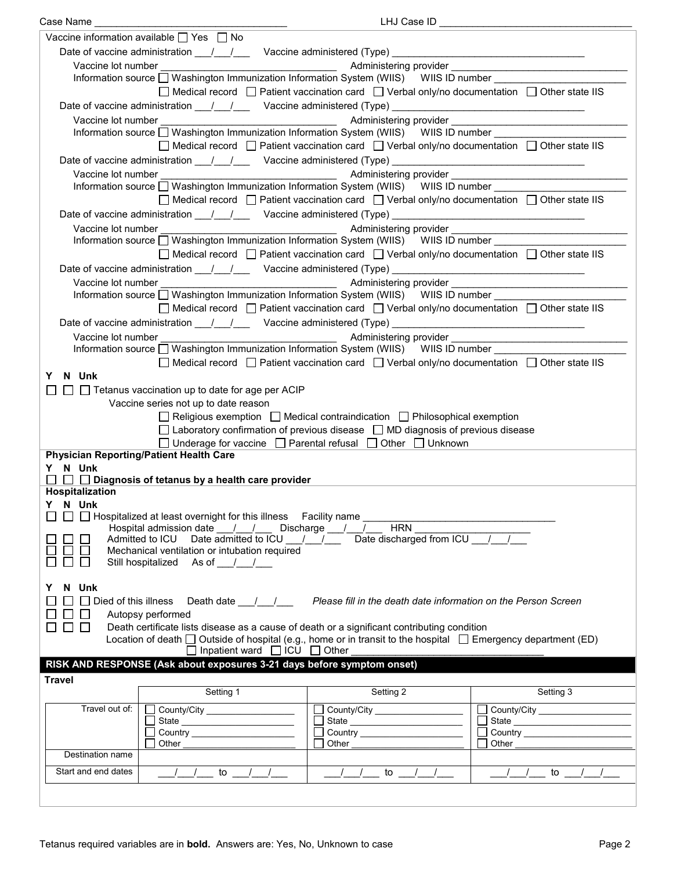| Case Name                            |                                                                                                               | LHJ Case ID                                                                                                                                                                                                                          |                                                                                                                                                                                                                                  |  |  |  |
|--------------------------------------|---------------------------------------------------------------------------------------------------------------|--------------------------------------------------------------------------------------------------------------------------------------------------------------------------------------------------------------------------------------|----------------------------------------------------------------------------------------------------------------------------------------------------------------------------------------------------------------------------------|--|--|--|
|                                      | Vaccine information available $\Box$ Yes $\Box$ No                                                            |                                                                                                                                                                                                                                      |                                                                                                                                                                                                                                  |  |  |  |
|                                      | Date of vaccine administration ___/___/ ___ Vaccine administered (Type) __________________________________    |                                                                                                                                                                                                                                      |                                                                                                                                                                                                                                  |  |  |  |
| Vaccine lot number                   |                                                                                                               |                                                                                                                                                                                                                                      |                                                                                                                                                                                                                                  |  |  |  |
|                                      | Information source □ Washington Immunization Information System (WIIS) WIIS ID number _______                 | Machinistering provider <b>Commission Commission Commission</b> Administering provider                                                                                                                                               |                                                                                                                                                                                                                                  |  |  |  |
|                                      |                                                                                                               |                                                                                                                                                                                                                                      |                                                                                                                                                                                                                                  |  |  |  |
|                                      |                                                                                                               | $\Box$ Medical record $\Box$ Patient vaccination card $\Box$ Verbal only/no documentation $\Box$ Other state IIS                                                                                                                     |                                                                                                                                                                                                                                  |  |  |  |
|                                      | Date of vaccine administration 11/2000 Vaccine administered (Type) 2008. [2010]                               |                                                                                                                                                                                                                                      |                                                                                                                                                                                                                                  |  |  |  |
| Vaccine lot number                   | <u> 1980 - Johann Barbara, martin di</u>                                                                      |                                                                                                                                                                                                                                      |                                                                                                                                                                                                                                  |  |  |  |
|                                      | Information source □ Washington Immunization Information System (WIIS) WIIS ID number                         |                                                                                                                                                                                                                                      |                                                                                                                                                                                                                                  |  |  |  |
|                                      |                                                                                                               | $\Box$ Medical record $\Box$ Patient vaccination card $\Box$ Verbal only/no documentation $\Box$ Other state IIS                                                                                                                     |                                                                                                                                                                                                                                  |  |  |  |
|                                      | Date of vaccine administration ____/ ___/ ____ Vaccine administered (Type) __________________________________ |                                                                                                                                                                                                                                      |                                                                                                                                                                                                                                  |  |  |  |
| Vaccine lot number                   |                                                                                                               |                                                                                                                                                                                                                                      | Administering provider<br>and the contract of the contract of the contract of the contract of the contract of the contract of the contract of the contract of the contract of the contract of the contract of the contract of th |  |  |  |
|                                      | Information source □ Washington Immunization Information System (WIIS) WIIS ID number ___________             |                                                                                                                                                                                                                                      |                                                                                                                                                                                                                                  |  |  |  |
|                                      |                                                                                                               | $\Box$ Medical record $\Box$ Patient vaccination card $\Box$ Verbal only/no documentation $\Box$ Other state IIS                                                                                                                     |                                                                                                                                                                                                                                  |  |  |  |
|                                      |                                                                                                               |                                                                                                                                                                                                                                      |                                                                                                                                                                                                                                  |  |  |  |
|                                      |                                                                                                               |                                                                                                                                                                                                                                      |                                                                                                                                                                                                                                  |  |  |  |
| Vaccine lot number                   |                                                                                                               |                                                                                                                                                                                                                                      |                                                                                                                                                                                                                                  |  |  |  |
|                                      | Information source □ Washington Immunization Information System (WIIS) WIIS ID number                         |                                                                                                                                                                                                                                      |                                                                                                                                                                                                                                  |  |  |  |
|                                      |                                                                                                               | □ Medical record □ Patient vaccination card □ Verbal only/no documentation □ Other state IIS                                                                                                                                         |                                                                                                                                                                                                                                  |  |  |  |
|                                      | Date of vaccine administration 11/2000 Vaccine administered (Type) 2008. [2010]                               |                                                                                                                                                                                                                                      |                                                                                                                                                                                                                                  |  |  |  |
| Vaccine lot number                   |                                                                                                               | Administering provider                                                                                                                                                                                                               | <u> 1989 - Johann Barbara, martin amerikan basar dan berasal dalam basar dalam basar dalam basar dalam basar dala</u>                                                                                                            |  |  |  |
|                                      |                                                                                                               |                                                                                                                                                                                                                                      |                                                                                                                                                                                                                                  |  |  |  |
|                                      |                                                                                                               | $\Box$ Medical record $\Box$ Patient vaccination card $\Box$ Verbal only/no documentation $\Box$ Other state IIS                                                                                                                     |                                                                                                                                                                                                                                  |  |  |  |
|                                      | Date of vaccine administration ____/ ___/ ____ Vaccine administered (Type) __________________________________ |                                                                                                                                                                                                                                      |                                                                                                                                                                                                                                  |  |  |  |
| Vaccine lot number                   |                                                                                                               |                                                                                                                                                                                                                                      |                                                                                                                                                                                                                                  |  |  |  |
|                                      | Information source □ Washington Immunization Information System (WIIS) WIIS ID number _______                 |                                                                                                                                                                                                                                      |                                                                                                                                                                                                                                  |  |  |  |
|                                      |                                                                                                               | $\Box$ Medical record $\Box$ Patient vaccination card $\Box$ Verbal only/no documentation $\Box$ Other state IIS                                                                                                                     |                                                                                                                                                                                                                                  |  |  |  |
|                                      |                                                                                                               |                                                                                                                                                                                                                                      |                                                                                                                                                                                                                                  |  |  |  |
| N Unk<br>Y.                          |                                                                                                               |                                                                                                                                                                                                                                      |                                                                                                                                                                                                                                  |  |  |  |
|                                      |                                                                                                               | $\Box$ Tetanus vaccination up to date for age per ACIP                                                                                                                                                                               |                                                                                                                                                                                                                                  |  |  |  |
| Vaccine series not up to date reason |                                                                                                               |                                                                                                                                                                                                                                      |                                                                                                                                                                                                                                  |  |  |  |
|                                      |                                                                                                               |                                                                                                                                                                                                                                      |                                                                                                                                                                                                                                  |  |  |  |
|                                      |                                                                                                               | $\Box$ Religious exemption $\Box$ Medical contraindication $\Box$ Philosophical exemption                                                                                                                                            |                                                                                                                                                                                                                                  |  |  |  |
|                                      |                                                                                                               | $\Box$ Laboratory confirmation of previous disease $\Box$ MD diagnosis of previous disease                                                                                                                                           |                                                                                                                                                                                                                                  |  |  |  |
|                                      |                                                                                                               | $\Box$ Underage for vaccine $\Box$ Parental refusal $\Box$ Other $\Box$ Unknown                                                                                                                                                      |                                                                                                                                                                                                                                  |  |  |  |
|                                      | <b>Physician Reporting/Patient Health Care</b>                                                                |                                                                                                                                                                                                                                      |                                                                                                                                                                                                                                  |  |  |  |
| Y N Unk                              |                                                                                                               |                                                                                                                                                                                                                                      |                                                                                                                                                                                                                                  |  |  |  |
|                                      | $\Box$ Diagnosis of tetanus by a health care provider                                                         |                                                                                                                                                                                                                                      |                                                                                                                                                                                                                                  |  |  |  |
| Hospitalization                      |                                                                                                               |                                                                                                                                                                                                                                      |                                                                                                                                                                                                                                  |  |  |  |
| Y N Unk                              |                                                                                                               |                                                                                                                                                                                                                                      |                                                                                                                                                                                                                                  |  |  |  |
|                                      | □ □ Hospitalized at least overnight for this illness Facility name                                            |                                                                                                                                                                                                                                      |                                                                                                                                                                                                                                  |  |  |  |
|                                      | Hospital admission date __/__/___ Discharge __/__/_                                                           | <b>HRN</b>                                                                                                                                                                                                                           |                                                                                                                                                                                                                                  |  |  |  |
|                                      | Admitted to ICU Date admitted to ICU $\frac{1}{\sqrt{2}}$                                                     | Date discharged from ICU / /                                                                                                                                                                                                         |                                                                                                                                                                                                                                  |  |  |  |
|                                      | Mechanical ventilation or intubation required                                                                 |                                                                                                                                                                                                                                      |                                                                                                                                                                                                                                  |  |  |  |
|                                      | Still hospitalized As of / /                                                                                  |                                                                                                                                                                                                                                      |                                                                                                                                                                                                                                  |  |  |  |
| Y                                    |                                                                                                               |                                                                                                                                                                                                                                      |                                                                                                                                                                                                                                  |  |  |  |
| N Unk                                |                                                                                                               |                                                                                                                                                                                                                                      |                                                                                                                                                                                                                                  |  |  |  |
| $\Box$ Died of this illness          |                                                                                                               | Death date <u>Julean Please fill</u> in the death date information on the Person Screen                                                                                                                                              |                                                                                                                                                                                                                                  |  |  |  |
|                                      | Autopsy performed                                                                                             |                                                                                                                                                                                                                                      |                                                                                                                                                                                                                                  |  |  |  |
| $\perp$<br>$\perp$                   | Death certificate lists disease as a cause of death or a significant contributing condition                   |                                                                                                                                                                                                                                      |                                                                                                                                                                                                                                  |  |  |  |
|                                      | Location of death □ Outside of hospital (e.g., home or in transit to the hospital □ Emergency department (ED) |                                                                                                                                                                                                                                      |                                                                                                                                                                                                                                  |  |  |  |
|                                      | $\Box$ Inpatient ward $\Box$ ICU $\Box$ Other                                                                 |                                                                                                                                                                                                                                      |                                                                                                                                                                                                                                  |  |  |  |
|                                      | RISK AND RESPONSE (Ask about exposures 3-21 days before symptom onset)                                        |                                                                                                                                                                                                                                      |                                                                                                                                                                                                                                  |  |  |  |
| <b>Travel</b>                        |                                                                                                               |                                                                                                                                                                                                                                      |                                                                                                                                                                                                                                  |  |  |  |
|                                      | Setting 1                                                                                                     | Setting 2                                                                                                                                                                                                                            | Setting 3                                                                                                                                                                                                                        |  |  |  |
| Travel out of:                       | County/City ____________________<br>$\mathbf{L}$                                                              | County/City                                                                                                                                                                                                                          | County/City                                                                                                                                                                                                                      |  |  |  |
|                                      |                                                                                                               |                                                                                                                                                                                                                                      | Ē                                                                                                                                                                                                                                |  |  |  |
|                                      |                                                                                                               |                                                                                                                                                                                                                                      | $\Box$                                                                                                                                                                                                                           |  |  |  |
|                                      | Other                                                                                                         | Other <b>Communist Communist Communist Communist Communist Communist Communist Communist Communist Communist Communist Communist Communist Communist Communist Communist Communist Communist Communist Communist Communist Commu</b> | Other the contract of the contract of the contract of the contract of the contract of the contract of the contract of the contract of the contract of the contract of the contract of the contract of the contract of the cont   |  |  |  |
| Destination name                     |                                                                                                               |                                                                                                                                                                                                                                      |                                                                                                                                                                                                                                  |  |  |  |
| Start and end dates                  | $1$ $1$ to $1$ $1$                                                                                            | $\overline{\phantom{a}}$ / $\phantom{a}$ to $\phantom{a}$ / $\phantom{a}$ /                                                                                                                                                          | <u>/ / to / / _ _</u>                                                                                                                                                                                                            |  |  |  |
|                                      |                                                                                                               |                                                                                                                                                                                                                                      |                                                                                                                                                                                                                                  |  |  |  |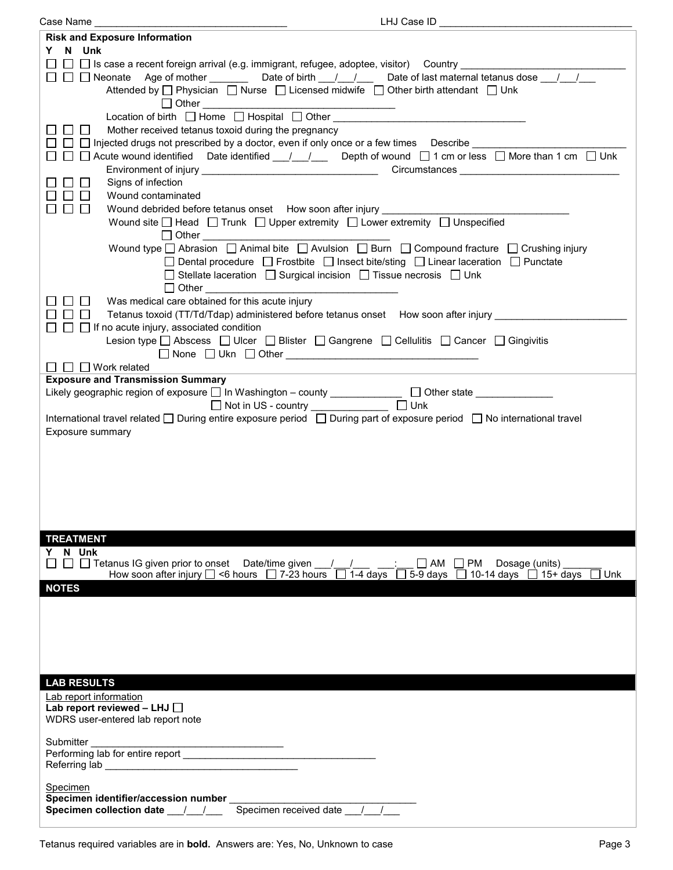| Case Name                                                                                                                                 | LHJ Case ID                                    |
|-------------------------------------------------------------------------------------------------------------------------------------------|------------------------------------------------|
| <b>Risk and Exposure Information</b>                                                                                                      |                                                |
| Y N Unk                                                                                                                                   |                                                |
| $\Box$ Is case a recent foreign arrival (e.g. immigrant, refugee, adoptee, visitor) Country _________                                     |                                                |
| □ □ Neonate Age of mother ________ Date of birth __/ _/ __ Date of last maternal tetanus dose __/ __/ __                                  |                                                |
|                                                                                                                                           |                                                |
| Attended by $\Box$ Physician $\Box$ Nurse $\Box$ Licensed midwife $\Box$ Other birth attendant $\Box$ Unk                                 |                                                |
| $\Box$ Other $\Box$                                                                                                                       |                                                |
| Location of birth $\Box$ Home $\Box$ Hospital $\Box$ Other $\Box$                                                                         |                                                |
| Mother received tetanus toxoid during the pregnancy<br>$\mathbf{L}$                                                                       |                                                |
| $\Box$ Injected drugs not prescribed by a doctor, even if only once or a few times Describe                                               |                                                |
| $\Box$ Acute wound identified Date identified $\_\_\_\_\_\_\_\_\_\_\$ Depth of wound $\Box$ 1 cm or less $\Box$ More than 1 cm $\Box$ Unk |                                                |
|                                                                                                                                           |                                                |
| Signs of infection<br>$\mathbf{1}$                                                                                                        |                                                |
| $\Box$<br>Wound contaminated                                                                                                              |                                                |
| Wound debrided before tetanus onset How soon after injury ________<br>$\Box$<br>$\perp$                                                   |                                                |
| Wound site $\Box$ Head $\Box$ Trunk $\Box$ Upper extremity $\Box$ Lower extremity $\Box$ Unspecified                                      |                                                |
|                                                                                                                                           |                                                |
| $\Box$ Other                                                                                                                              |                                                |
| Wound type $\Box$ Abrasion $\Box$ Animal bite $\Box$ Avulsion $\Box$ Burn $\Box$ Compound fracture $\Box$ Crushing injury                 |                                                |
| □ Dental procedure □ Frostbite □ Insect bite/sting □ Linear laceration □ Punctate                                                         |                                                |
| $\Box$ Stellate laceration $\Box$ Surgical incision $\Box$ Tissue necrosis $\Box$ Unk                                                     |                                                |
| $\Box$ Other                                                                                                                              |                                                |
| Was medical care obtained for this acute injury                                                                                           |                                                |
| Tetanus toxoid (TT/Td/Tdap) administered before tetanus onset How soon after injury _<br>$\mathbb{R}^n$                                   |                                                |
| $\Box$ If no acute injury, associated condition                                                                                           |                                                |
| Lesion type □ Abscess □ Ulcer □ Blister □ Gangrene □ Cellulitis □ Cancer □ Gingivitis                                                     |                                                |
|                                                                                                                                           |                                                |
| $\Box$ $\Box$ Work related                                                                                                                |                                                |
| <b>Exposure and Transmission Summary</b>                                                                                                  |                                                |
| Likely geographic region of exposure □ In Washington - county _____________ □ Other state __________                                      |                                                |
|                                                                                                                                           |                                                |
| International travel related □ During entire exposure period □ During part of exposure period □ No international travel                   |                                                |
|                                                                                                                                           |                                                |
| Exposure summary                                                                                                                          |                                                |
|                                                                                                                                           |                                                |
|                                                                                                                                           |                                                |
|                                                                                                                                           |                                                |
|                                                                                                                                           |                                                |
|                                                                                                                                           |                                                |
|                                                                                                                                           |                                                |
|                                                                                                                                           |                                                |
| <b>TREATMENT</b>                                                                                                                          |                                                |
| Y N Unk                                                                                                                                   |                                                |
| □ Tetanus IG given prior to onset Date/time given   / /<br>$\Box$                                                                         | $\vdots$ $\Box$ AM $\Box$ PM<br>Dosage (units) |
| How soon after injury $\Box$ <6 hours $\Box$ 7-23 hours $\Box$ 1-4 days $\Box$ 5-9 days $\Box$ 10-14 days $\Box$ 15+ days                 | Unk                                            |
| <b>NOTES</b>                                                                                                                              |                                                |
|                                                                                                                                           |                                                |
|                                                                                                                                           |                                                |
|                                                                                                                                           |                                                |
|                                                                                                                                           |                                                |
|                                                                                                                                           |                                                |
|                                                                                                                                           |                                                |
|                                                                                                                                           |                                                |
| <b>LAB RESULTS</b>                                                                                                                        |                                                |
| Lab report information                                                                                                                    |                                                |
| Lab report reviewed - LHJ                                                                                                                 |                                                |
| WDRS user-entered lab report note                                                                                                         |                                                |
|                                                                                                                                           |                                                |
| Submitter<br><u> 1989 - Johann John Harrison, mars eta bainar e</u>                                                                       |                                                |
| Performing lab for entire report                                                                                                          |                                                |
|                                                                                                                                           |                                                |
|                                                                                                                                           |                                                |
| Specimen                                                                                                                                  |                                                |
|                                                                                                                                           |                                                |
| Specimen received date / /<br>Specimen collection date __/__/__                                                                           |                                                |
|                                                                                                                                           |                                                |